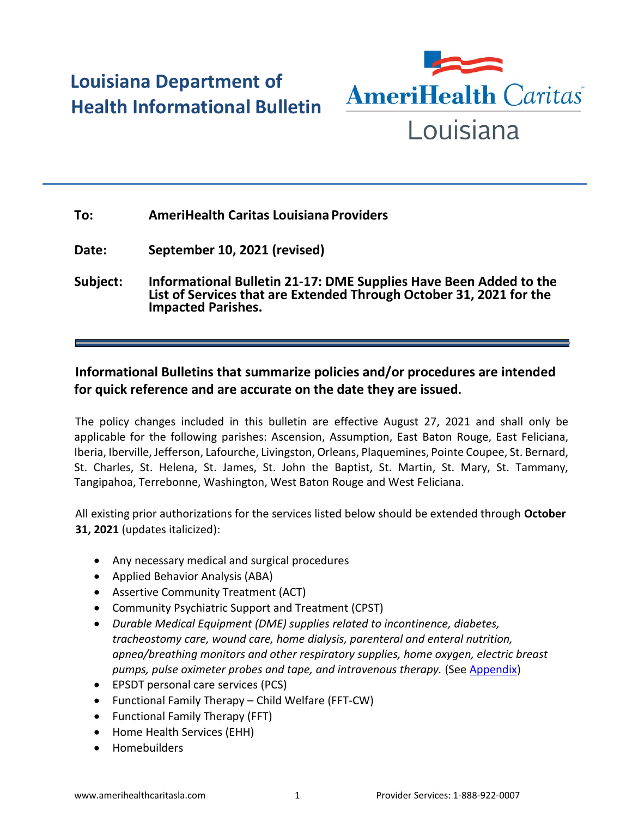## **Louisiana Department of Health Informational Bulletin**



## **To: AmeriHealth Caritas Louisiana Providers**

**Date: September 10, 2021 (revised)**

**Subject: Informational Bulletin 21-17: DME Supplies Have Been Added to the List of Services that are Extended Through October 31, 2021 for the Impacted Parishes.**

## **Informational Bulletins that summarize policies and/or procedures are intended for quick reference and are accurate on the date they are issued.**

The policy changes included in this bulletin are effective August 27, 2021 and shall only be applicable for the following parishes: Ascension, Assumption, East Baton Rouge, East Feliciana, Iberia, Iberville, Jefferson, Lafourche, Livingston, Orleans, Plaquemines, Pointe Coupee, St. Bernard, St. Charles, St. Helena, St. James, St. John the Baptist, St. Martin, St. Mary, St. Tammany, Tangipahoa, Terrebonne, Washington, West Baton Rouge and West Feliciana.

All existing prior authorizations for the services listed below should be extended through **October 31, 2021** (updates italicized):

- Any necessary medical and surgical procedures
- Applied Behavior Analysis (ABA)
- Assertive Community Treatment (ACT)
- Community Psychiatric Support and Treatment (CPST)
- *Durable Medical Equipment (DME) supplies related to incontinence, diabetes, tracheostomy care, wound care, home dialysis, parenteral and enteral nutrition, apnea/breathing monitors and other respiratory supplies, home oxygen, electric breast pumps, pulse oximeter probes and tape, and intravenous therapy.* (See [Appendix\)](https://ldh.la.gov/assets/docs/BayouHealth/Informational_Bulletins/2021/21-17/IB21-17_revised_9.10.21.pdf)
- EPSDT personal care services (PCS)
- Functional Family Therapy Child Welfare (FFT-CW)
- Functional Family Therapy (FFT)
- Home Health Services (EHH)
- Homebuilders